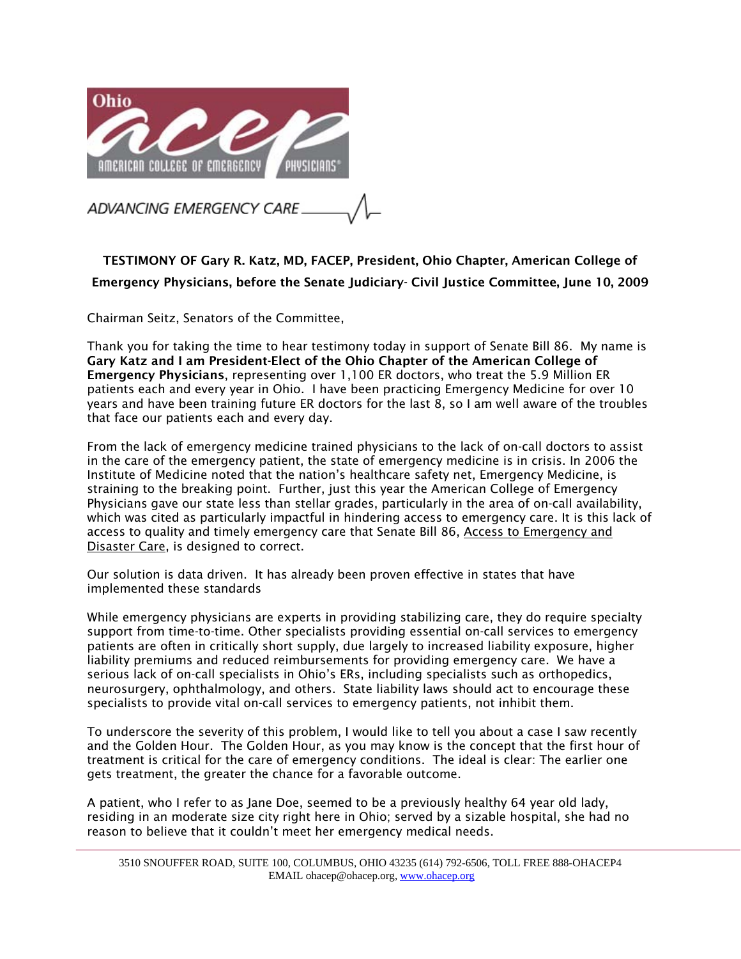

TESTIMONY OF Gary R. Katz, MD, FACEP, President, Ohio Chapter, American College of Emergency Physicians, before the Senate Judiciary- Civil Justice Committee, June 10, 2009

Chairman Seitz, Senators of the Committee,

Thank you for taking the time to hear testimony today in support of Senate Bill 86. My name is Gary Katz and I am President-Elect of the Ohio Chapter of the American College of Emergency Physicians, representing over 1,100 ER doctors, who treat the 5.9 Million ER patients each and every year in Ohio. I have been practicing Emergency Medicine for over 10 years and have been training future ER doctors for the last 8, so I am well aware of the troubles that face our patients each and every day.

From the lack of emergency medicine trained physicians to the lack of on-call doctors to assist in the care of the emergency patient, the state of emergency medicine is in crisis. In 2006 the Institute of Medicine noted that the nation's healthcare safety net, Emergency Medicine, is straining to the breaking point. Further, just this year the American College of Emergency Physicians gave our state less than stellar grades, particularly in the area of on-call availability, which was cited as particularly impactful in hindering access to emergency care. It is this lack of access to quality and timely emergency care that Senate Bill 86, Access to Emergency and Disaster Care, is designed to correct.

Our solution is data driven. It has already been proven effective in states that have implemented these standards

While emergency physicians are experts in providing stabilizing care, they do require specialty support from time-to-time. Other specialists providing essential on-call services to emergency patients are often in critically short supply, due largely to increased liability exposure, higher liability premiums and reduced reimbursements for providing emergency care. We have a serious lack of on-call specialists in Ohio's ERs, including specialists such as orthopedics, neurosurgery, ophthalmology, and others. State liability laws should act to encourage these specialists to provide vital on-call services to emergency patients, not inhibit them.

To underscore the severity of this problem, I would like to tell you about a case I saw recently and the Golden Hour. The Golden Hour, as you may know is the concept that the first hour of treatment is critical for the care of emergency conditions. The ideal is clear: The earlier one gets treatment, the greater the chance for a favorable outcome.

A patient, who I refer to as Jane Doe, seemed to be a previously healthy 64 year old lady, residing in an moderate size city right here in Ohio; served by a sizable hospital, she had no reason to believe that it couldn't meet her emergency medical needs.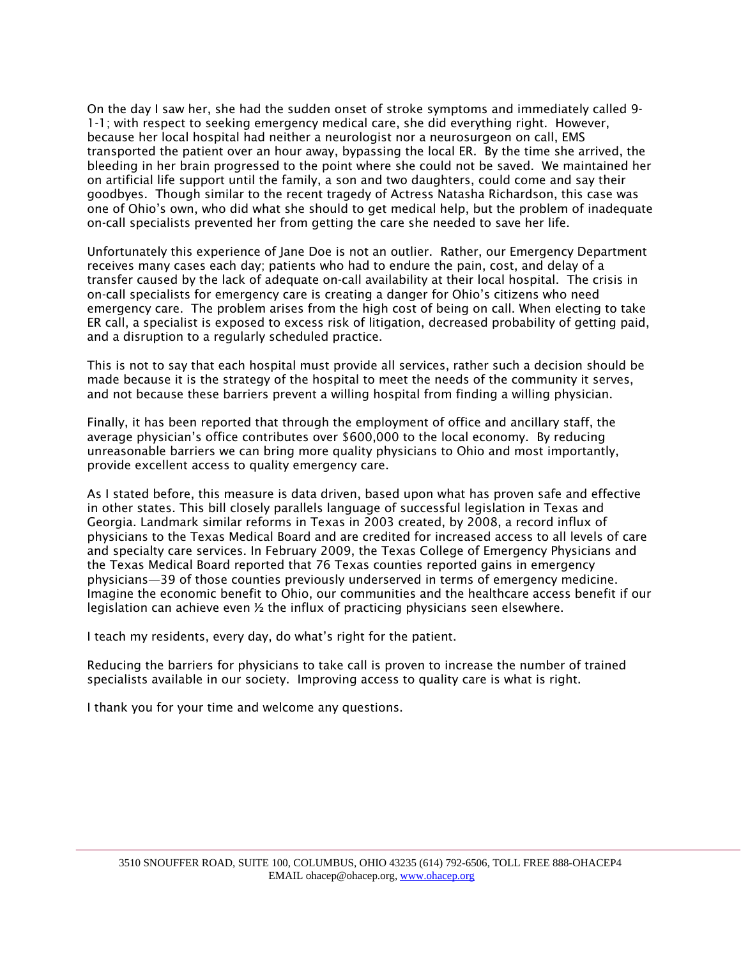On the day I saw her, she had the sudden onset of stroke symptoms and immediately called 9- 1-1; with respect to seeking emergency medical care, she did everything right. However, because her local hospital had neither a neurologist nor a neurosurgeon on call, EMS transported the patient over an hour away, bypassing the local ER. By the time she arrived, the bleeding in her brain progressed to the point where she could not be saved. We maintained her on artificial life support until the family, a son and two daughters, could come and say their goodbyes. Though similar to the recent tragedy of Actress Natasha Richardson, this case was one of Ohio's own, who did what she should to get medical help, but the problem of inadequate on-call specialists prevented her from getting the care she needed to save her life.

Unfortunately this experience of Jane Doe is not an outlier. Rather, our Emergency Department receives many cases each day; patients who had to endure the pain, cost, and delay of a transfer caused by the lack of adequate on-call availability at their local hospital. The crisis in on-call specialists for emergency care is creating a danger for Ohio's citizens who need emergency care. The problem arises from the high cost of being on call. When electing to take ER call, a specialist is exposed to excess risk of litigation, decreased probability of getting paid, and a disruption to a regularly scheduled practice.

This is not to say that each hospital must provide all services, rather such a decision should be made because it is the strategy of the hospital to meet the needs of the community it serves, and not because these barriers prevent a willing hospital from finding a willing physician.

Finally, it has been reported that through the employment of office and ancillary staff, the average physician's office contributes over \$600,000 to the local economy. By reducing unreasonable barriers we can bring more quality physicians to Ohio and most importantly, provide excellent access to quality emergency care.

As I stated before, this measure is data driven, based upon what has proven safe and effective in other states. This bill closely parallels language of successful legislation in Texas and Georgia. Landmark similar reforms in Texas in 2003 created, by 2008, a record influx of physicians to the Texas Medical Board and are credited for increased access to all levels of care and specialty care services. In February 2009, the Texas College of Emergency Physicians and the Texas Medical Board reported that 76 Texas counties reported gains in emergency physicians—39 of those counties previously underserved in terms of emergency medicine. Imagine the economic benefit to Ohio, our communities and the healthcare access benefit if our legislation can achieve even  $\frac{1}{2}$  the influx of practicing physicians seen elsewhere.

I teach my residents, every day, do what's right for the patient.

Reducing the barriers for physicians to take call is proven to increase the number of trained specialists available in our society. Improving access to quality care is what is right.

I thank you for your time and welcome any questions.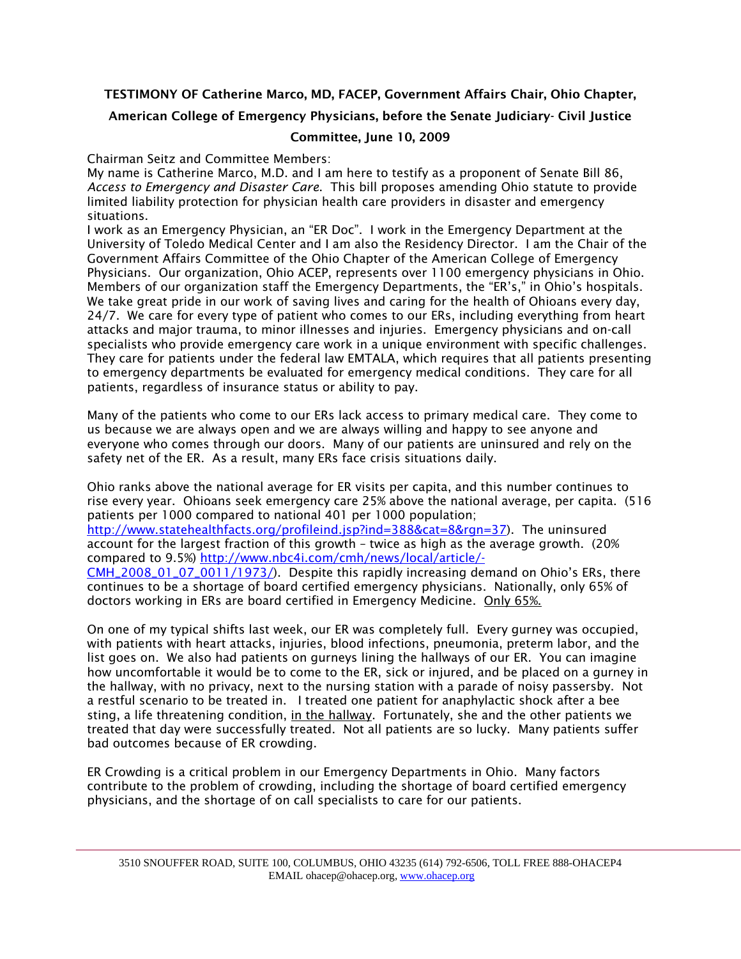## TESTIMONY OF Catherine Marco, MD, FACEP, Government Affairs Chair, Ohio Chapter,

### American College of Emergency Physicians, before the Senate Judiciary- Civil Justice

### Committee, June 10, 2009

Chairman Seitz and Committee Members:

My name is Catherine Marco, M.D. and I am here to testify as a proponent of Senate Bill 86, *Access to Emergency and Disaster Care*. This bill proposes amending Ohio statute to provide limited liability protection for physician health care providers in disaster and emergency situations.

I work as an Emergency Physician, an "ER Doc". I work in the Emergency Department at the University of Toledo Medical Center and I am also the Residency Director. I am the Chair of the Government Affairs Committee of the Ohio Chapter of the American College of Emergency Physicians. Our organization, Ohio ACEP, represents over 1100 emergency physicians in Ohio. Members of our organization staff the Emergency Departments, the "ER's," in Ohio's hospitals. We take great pride in our work of saving lives and caring for the health of Ohioans every day, 24/7. We care for every type of patient who comes to our ERs, including everything from heart attacks and major trauma, to minor illnesses and injuries. Emergency physicians and on-call specialists who provide emergency care work in a unique environment with specific challenges. They care for patients under the federal law EMTALA, which requires that all patients presenting to emergency departments be evaluated for emergency medical conditions. They care for all patients, regardless of insurance status or ability to pay.

Many of the patients who come to our ERs lack access to primary medical care. They come to us because we are always open and we are always willing and happy to see anyone and everyone who comes through our doors. Many of our patients are uninsured and rely on the safety net of the ER. As a result, many ERs face crisis situations daily.

Ohio ranks above the national average for ER visits per capita, and this number continues to rise every year. Ohioans seek emergency care 25% above the national average, per capita. (516 patients per 1000 compared to national 401 per 1000 population; http://www.statehealthfacts.org/profileind.jsp?ind=388&cat=8&rgn=37). The uninsured account for the largest fraction of this growth – twice as high as the average growth. (20% compared to 9.5%) http://www.nbc4i.com/cmh/news/local/article/- CMH\_2008\_01\_07\_0011/1973/). Despite this rapidly increasing demand on Ohio's ERs, there continues to be a shortage of board certified emergency physicians. Nationally, only 65% of doctors working in ERs are board certified in Emergency Medicine. Only 65%.

On one of my typical shifts last week, our ER was completely full. Every gurney was occupied, with patients with heart attacks, injuries, blood infections, pneumonia, preterm labor, and the list goes on. We also had patients on gurneys lining the hallways of our ER. You can imagine how uncomfortable it would be to come to the ER, sick or injured, and be placed on a gurney in the hallway, with no privacy, next to the nursing station with a parade of noisy passersby. Not a restful scenario to be treated in. I treated one patient for anaphylactic shock after a bee sting, a life threatening condition, in the hallway. Fortunately, she and the other patients we treated that day were successfully treated. Not all patients are so lucky. Many patients suffer bad outcomes because of ER crowding.

ER Crowding is a critical problem in our Emergency Departments in Ohio. Many factors contribute to the problem of crowding, including the shortage of board certified emergency physicians, and the shortage of on call specialists to care for our patients.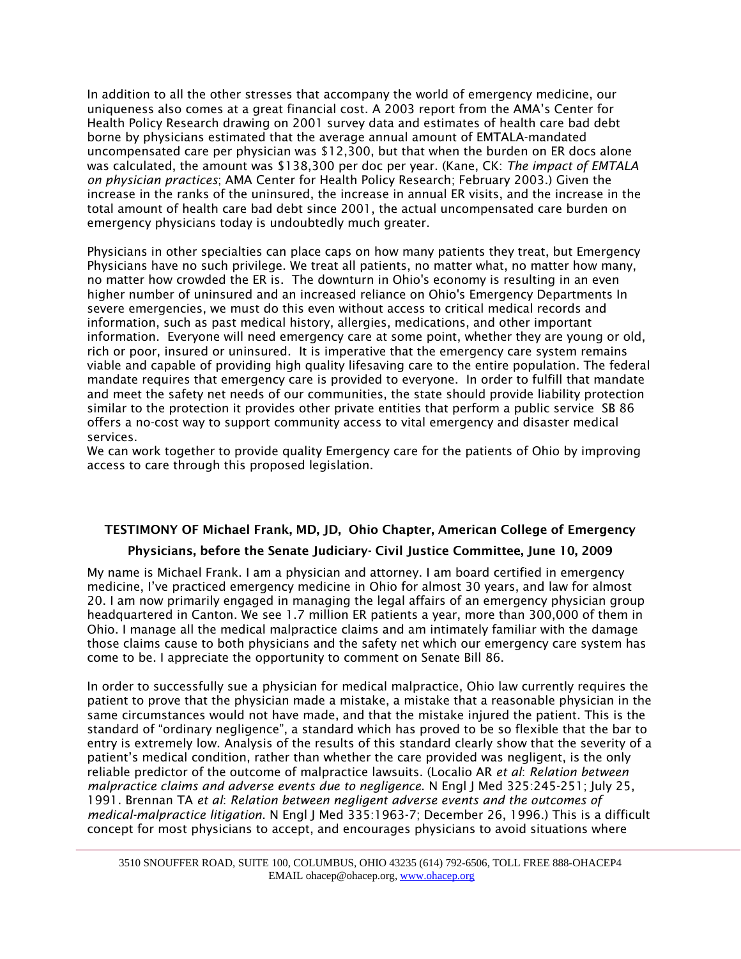In addition to all the other stresses that accompany the world of emergency medicine, our uniqueness also comes at a great financial cost. A 2003 report from the AMA's Center for Health Policy Research drawing on 2001 survey data and estimates of health care bad debt borne by physicians estimated that the average annual amount of EMTALA-mandated uncompensated care per physician was \$12,300, but that when the burden on ER docs alone was calculated, the amount was \$138,300 per doc per year. (Kane, CK: *The impact of EMTALA on physician practices*; AMA Center for Health Policy Research; February 2003.) Given the increase in the ranks of the uninsured, the increase in annual ER visits, and the increase in the total amount of health care bad debt since 2001, the actual uncompensated care burden on emergency physicians today is undoubtedly much greater.

Physicians in other specialties can place caps on how many patients they treat, but Emergency Physicians have no such privilege. We treat all patients, no matter what, no matter how many, no matter how crowded the ER is. The downturn in Ohio's economy is resulting in an even higher number of uninsured and an increased reliance on Ohio's Emergency Departments In severe emergencies, we must do this even without access to critical medical records and information, such as past medical history, allergies, medications, and other important information. Everyone will need emergency care at some point, whether they are young or old, rich or poor, insured or uninsured. It is imperative that the emergency care system remains viable and capable of providing high quality lifesaving care to the entire population. The federal mandate requires that emergency care is provided to everyone. In order to fulfill that mandate and meet the safety net needs of our communities, the state should provide liability protection similar to the protection it provides other private entities that perform a public service SB 86 offers a no-cost way to support community access to vital emergency and disaster medical services.

We can work together to provide quality Emergency care for the patients of Ohio by improving access to care through this proposed legislation.

## TESTIMONY OF Michael Frank, MD, JD, Ohio Chapter, American College of Emergency

### Physicians, before the Senate Judiciary- Civil Justice Committee, June 10, 2009

My name is Michael Frank. I am a physician and attorney. I am board certified in emergency medicine, I've practiced emergency medicine in Ohio for almost 30 years, and law for almost 20. I am now primarily engaged in managing the legal affairs of an emergency physician group headquartered in Canton. We see 1.7 million ER patients a year, more than 300,000 of them in Ohio. I manage all the medical malpractice claims and am intimately familiar with the damage those claims cause to both physicians and the safety net which our emergency care system has come to be. I appreciate the opportunity to comment on Senate Bill 86.

In order to successfully sue a physician for medical malpractice, Ohio law currently requires the patient to prove that the physician made a mistake, a mistake that a reasonable physician in the same circumstances would not have made, and that the mistake injured the patient. This is the standard of "ordinary negligence", a standard which has proved to be so flexible that the bar to entry is extremely low. Analysis of the results of this standard clearly show that the severity of a patient's medical condition, rather than whether the care provided was negligent, is the only reliable predictor of the outcome of malpractice lawsuits. (Localio AR *et al*: *Relation between malpractice claims and adverse events due to negligence*. N Engl J Med 325:245-251; July 25, 1991. Brennan TA *et al*: *Relation between negligent adverse events and the outcomes of medical-malpractice litigation*. N Engl J Med 335:1963-7; December 26, 1996.) This is a difficult concept for most physicians to accept, and encourages physicians to avoid situations where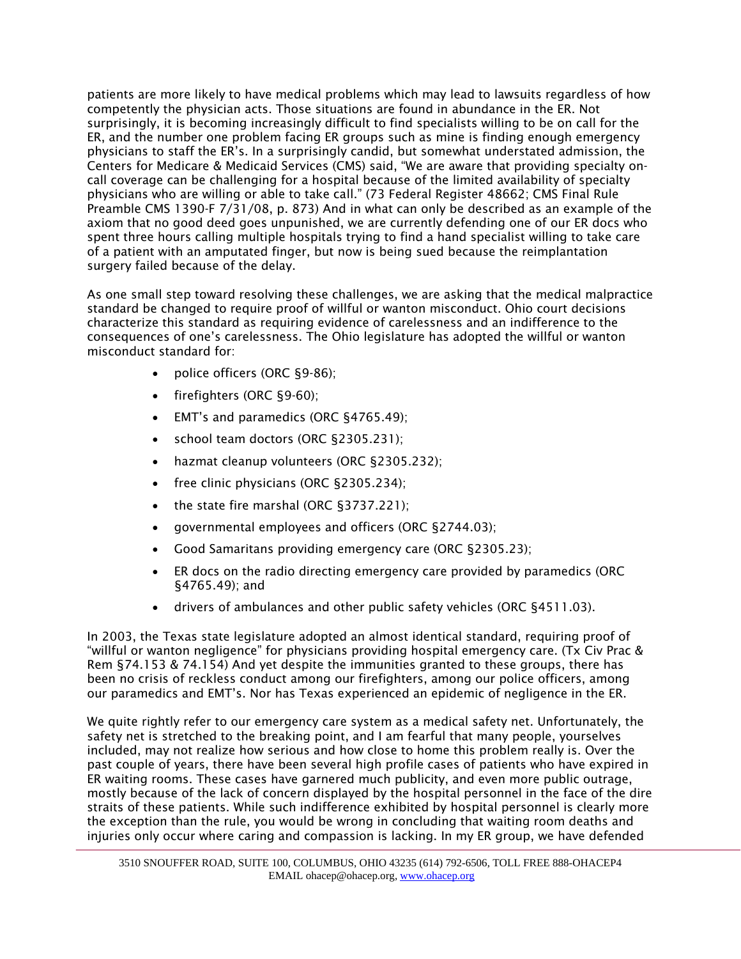patients are more likely to have medical problems which may lead to lawsuits regardless of how competently the physician acts. Those situations are found in abundance in the ER. Not surprisingly, it is becoming increasingly difficult to find specialists willing to be on call for the ER, and the number one problem facing ER groups such as mine is finding enough emergency physicians to staff the ER's. In a surprisingly candid, but somewhat understated admission, the Centers for Medicare & Medicaid Services (CMS) said, "We are aware that providing specialty oncall coverage can be challenging for a hospital because of the limited availability of specialty physicians who are willing or able to take call." (73 Federal Register 48662; CMS Final Rule Preamble CMS 1390-F 7/31/08, p. 873) And in what can only be described as an example of the axiom that no good deed goes unpunished, we are currently defending one of our ER docs who spent three hours calling multiple hospitals trying to find a hand specialist willing to take care of a patient with an amputated finger, but now is being sued because the reimplantation surgery failed because of the delay.

As one small step toward resolving these challenges, we are asking that the medical malpractice standard be changed to require proof of willful or wanton misconduct. Ohio court decisions characterize this standard as requiring evidence of carelessness and an indifference to the consequences of one's carelessness. The Ohio legislature has adopted the willful or wanton misconduct standard for:

- police officers (ORC §9-86);
- firefighters (ORC §9-60);
- EMT's and paramedics (ORC §4765.49);
- school team doctors (ORC §2305.231);
- hazmat cleanup volunteers (ORC §2305.232);
- free clinic physicians (ORC §2305.234);
- the state fire marshal (ORC §3737.221);
- governmental employees and officers (ORC §2744.03);
- Good Samaritans providing emergency care (ORC §2305.23);
- ER docs on the radio directing emergency care provided by paramedics (ORC §4765.49); and
- drivers of ambulances and other public safety vehicles (ORC §4511.03).

In 2003, the Texas state legislature adopted an almost identical standard, requiring proof of "willful or wanton negligence" for physicians providing hospital emergency care. (Tx Civ Prac & Rem §74.153 & 74.154) And yet despite the immunities granted to these groups, there has been no crisis of reckless conduct among our firefighters, among our police officers, among our paramedics and EMT's. Nor has Texas experienced an epidemic of negligence in the ER.

We quite rightly refer to our emergency care system as a medical safety net. Unfortunately, the safety net is stretched to the breaking point, and I am fearful that many people, yourselves included, may not realize how serious and how close to home this problem really is. Over the past couple of years, there have been several high profile cases of patients who have expired in ER waiting rooms. These cases have garnered much publicity, and even more public outrage, mostly because of the lack of concern displayed by the hospital personnel in the face of the dire straits of these patients. While such indifference exhibited by hospital personnel is clearly more the exception than the rule, you would be wrong in concluding that waiting room deaths and injuries only occur where caring and compassion is lacking. In my ER group, we have defended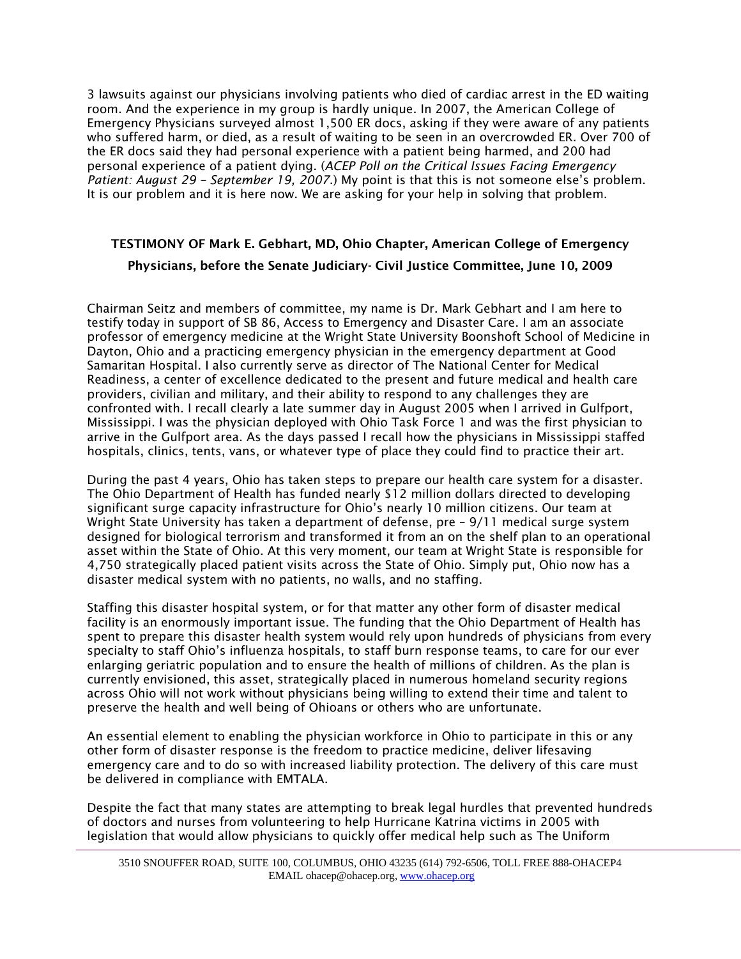3 lawsuits against our physicians involving patients who died of cardiac arrest in the ED waiting room. And the experience in my group is hardly unique. In 2007, the American College of Emergency Physicians surveyed almost 1,500 ER docs, asking if they were aware of any patients who suffered harm, or died, as a result of waiting to be seen in an overcrowded ER. Over 700 of the ER docs said they had personal experience with a patient being harmed, and 200 had personal experience of a patient dying. (*ACEP Poll on the Critical Issues Facing Emergency Patient: August 29 – September 19, 2007*.) My point is that this is not someone else's problem. It is our problem and it is here now. We are asking for your help in solving that problem.

# TESTIMONY OF Mark E. Gebhart, MD, Ohio Chapter, American College of Emergency Physicians, before the Senate Judiciary- Civil Justice Committee, June 10, 2009

Chairman Seitz and members of committee, my name is Dr. Mark Gebhart and I am here to testify today in support of SB 86, Access to Emergency and Disaster Care. I am an associate professor of emergency medicine at the Wright State University Boonshoft School of Medicine in Dayton, Ohio and a practicing emergency physician in the emergency department at Good Samaritan Hospital. I also currently serve as director of The National Center for Medical Readiness, a center of excellence dedicated to the present and future medical and health care providers, civilian and military, and their ability to respond to any challenges they are confronted with. I recall clearly a late summer day in August 2005 when I arrived in Gulfport, Mississippi. I was the physician deployed with Ohio Task Force 1 and was the first physician to arrive in the Gulfport area. As the days passed I recall how the physicians in Mississippi staffed hospitals, clinics, tents, vans, or whatever type of place they could find to practice their art.

During the past 4 years, Ohio has taken steps to prepare our health care system for a disaster. The Ohio Department of Health has funded nearly \$12 million dollars directed to developing significant surge capacity infrastructure for Ohio's nearly 10 million citizens. Our team at Wright State University has taken a department of defense, pre – 9/11 medical surge system designed for biological terrorism and transformed it from an on the shelf plan to an operational asset within the State of Ohio. At this very moment, our team at Wright State is responsible for 4,750 strategically placed patient visits across the State of Ohio. Simply put, Ohio now has a disaster medical system with no patients, no walls, and no staffing.

Staffing this disaster hospital system, or for that matter any other form of disaster medical facility is an enormously important issue. The funding that the Ohio Department of Health has spent to prepare this disaster health system would rely upon hundreds of physicians from every specialty to staff Ohio's influenza hospitals, to staff burn response teams, to care for our ever enlarging geriatric population and to ensure the health of millions of children. As the plan is currently envisioned, this asset, strategically placed in numerous homeland security regions across Ohio will not work without physicians being willing to extend their time and talent to preserve the health and well being of Ohioans or others who are unfortunate.

An essential element to enabling the physician workforce in Ohio to participate in this or any other form of disaster response is the freedom to practice medicine, deliver lifesaving emergency care and to do so with increased liability protection. The delivery of this care must be delivered in compliance with EMTALA.

Despite the fact that many states are attempting to break legal hurdles that prevented hundreds of doctors and nurses from volunteering to help Hurricane Katrina victims in 2005 with legislation that would allow physicians to quickly offer medical help such as The Uniform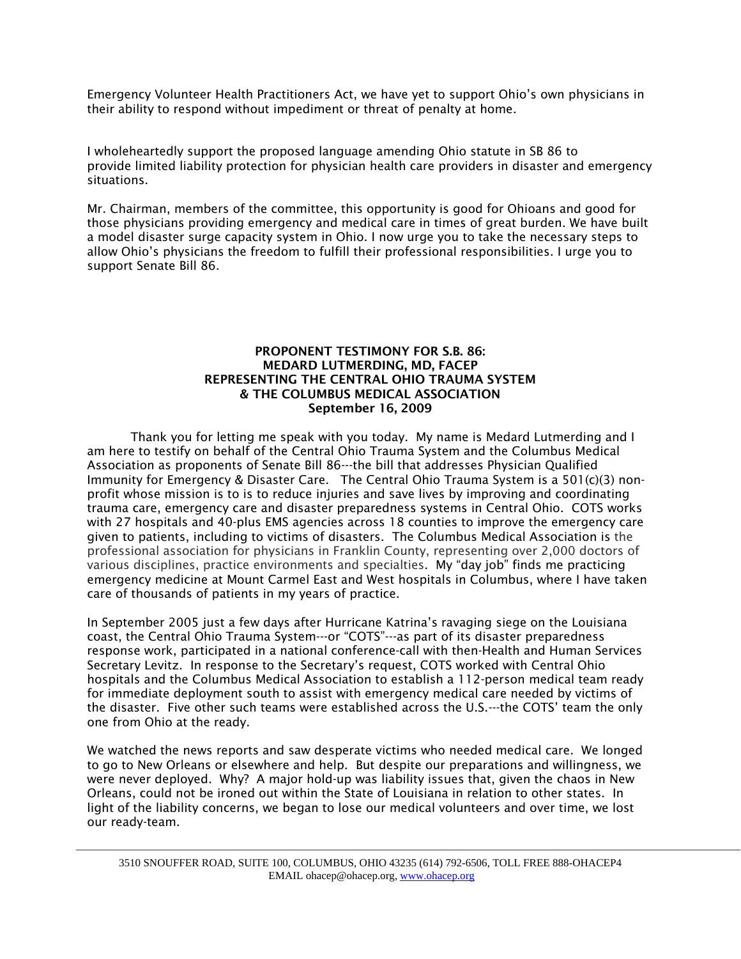Emergency Volunteer Health Practitioners Act, we have yet to support Ohio's own physicians in their ability to respond without impediment or threat of penalty at home.

I wholeheartedly support the proposed language amending Ohio statute in SB 86 to provide limited liability protection for physician health care providers in disaster and emergency situations.

Mr. Chairman, members of the committee, this opportunity is good for Ohioans and good for those physicians providing emergency and medical care in times of great burden. We have built a model disaster surge capacity system in Ohio. I now urge you to take the necessary steps to allow Ohio's physicians the freedom to fulfill their professional responsibilities. I urge you to support Senate Bill 86.

#### PROPONENT TESTIMONY FOR S.B. 86: MEDARD LUTMERDING, MD, FACEP REPRESENTING THE CENTRAL OHIO TRAUMA SYSTEM & THE COLUMBUS MEDICAL ASSOCIATION September 16, 2009

Thank you for letting me speak with you today. My name is Medard Lutmerding and I am here to testify on behalf of the Central Ohio Trauma System and the Columbus Medical Association as proponents of Senate Bill 86---the bill that addresses Physician Qualified Immunity for Emergency & Disaster Care. The Central Ohio Trauma System is a 501(c)(3) nonprofit whose mission is to is to reduce injuries and save lives by improving and coordinating trauma care, emergency care and disaster preparedness systems in Central Ohio. COTS works with 27 hospitals and 40-plus EMS agencies across 18 counties to improve the emergency care given to patients, including to victims of disasters. The Columbus Medical Association is the professional association for physicians in Franklin County, representing over 2,000 doctors of various disciplines, practice environments and specialties. My "day job" finds me practicing emergency medicine at Mount Carmel East and West hospitals in Columbus, where I have taken care of thousands of patients in my years of practice.

In September 2005 just a few days after Hurricane Katrina's ravaging siege on the Louisiana coast, the Central Ohio Trauma System---or "COTS"---as part of its disaster preparedness response work, participated in a national conference-call with then-Health and Human Services Secretary Levitz. In response to the Secretary's request, COTS worked with Central Ohio hospitals and the Columbus Medical Association to establish a 112-person medical team ready for immediate deployment south to assist with emergency medical care needed by victims of the disaster. Five other such teams were established across the U.S.---the COTS' team the only one from Ohio at the ready.

We watched the news reports and saw desperate victims who needed medical care. We longed to go to New Orleans or elsewhere and help. But despite our preparations and willingness, we were never deployed. Why? A major hold-up was liability issues that, given the chaos in New Orleans, could not be ironed out within the State of Louisiana in relation to other states. In light of the liability concerns, we began to lose our medical volunteers and over time, we lost our ready-team.